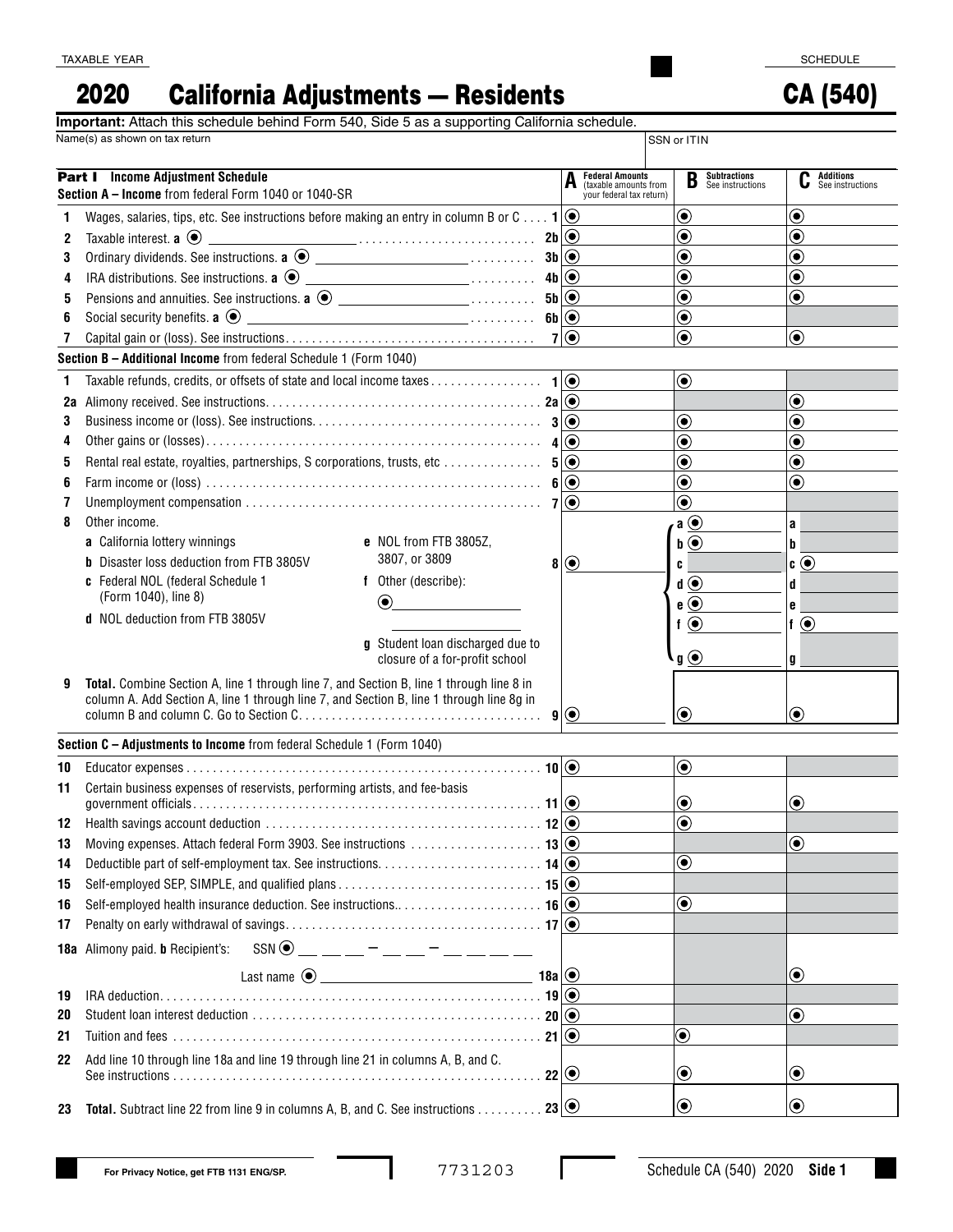CA (540)

## California Adjustments — Residents 2020

**Important:** Attach this schedule behind Form 540, Side 5 as a supporting California schedule.

| Name(s) as shown on tax return<br>SSN or ITIN |                                                                                                                                                                                      |                                                                             |                                              |                                           |  |  |  |
|-----------------------------------------------|--------------------------------------------------------------------------------------------------------------------------------------------------------------------------------------|-----------------------------------------------------------------------------|----------------------------------------------|-------------------------------------------|--|--|--|
|                                               | <b>Part I</b> Income Adjustment Schedule<br>Section A - Income from federal Form 1040 or 1040-SR                                                                                     | <b>Federal Amounts</b><br>(taxable amounts from<br>your federal tax return) | <b>Subtractions</b><br>See instructions<br>B | <b>Additions</b><br>C<br>See instructions |  |  |  |
| 1                                             | Wages, salaries, tips, etc. See instructions before making an entry in column B or C $\mathbf{1}[\circledcirc]$                                                                      |                                                                             | $\boldsymbol{\odot}$                         | $\boldsymbol{\odot}$                      |  |  |  |
| 2                                             | Taxable interest. <b>a</b> $\odot$<br><u> 2b</u>   <b>●</b> 2b                                                                                                                       |                                                                             | $\textcolor{blue}{\bullet}$                  | $\textcolor{blue}{\bullet}$               |  |  |  |
| 3                                             |                                                                                                                                                                                      |                                                                             | $\textcolor{blue}{\bullet}$                  | $\textcolor{blue}{\bullet}$               |  |  |  |
| 4                                             | IRA distributions. See instructions. a $\odot$ _________________________<br>$4b$ $\odot$                                                                                             |                                                                             | $\textcolor{blue}{\bullet}$                  | $\textcolor{blue}{\bullet}$               |  |  |  |
| 5                                             |                                                                                                                                                                                      |                                                                             | $\textcolor{blue}{\bullet}$                  | $\textcolor{blue}{\bullet}$               |  |  |  |
| 6                                             |                                                                                                                                                                                      |                                                                             | $\textcolor{blue}{\bullet}$                  |                                           |  |  |  |
| 7                                             |                                                                                                                                                                                      |                                                                             | $\circledbullet$                             | $\odot$                                   |  |  |  |
|                                               | Section B - Additional Income from federal Schedule 1 (Form 1040)                                                                                                                    |                                                                             |                                              |                                           |  |  |  |
| 1                                             |                                                                                                                                                                                      |                                                                             | $\textcircled{\small{\bullet}}$              |                                           |  |  |  |
| 2a                                            |                                                                                                                                                                                      |                                                                             |                                              | $\boldsymbol{\odot}$                      |  |  |  |
| 3                                             |                                                                                                                                                                                      |                                                                             | $\textcolor{blue}{\bullet}$                  | $\textcolor{blue}{\bullet}$               |  |  |  |
| 4                                             |                                                                                                                                                                                      |                                                                             | $\textcolor{blue}{\bullet}$                  | $\textcolor{blue}{\bullet}$               |  |  |  |
| 5                                             |                                                                                                                                                                                      |                                                                             | $\textcolor{blue}{\bullet}$                  | $\textcolor{blue}{\bullet}$               |  |  |  |
| 6                                             |                                                                                                                                                                                      |                                                                             | $\textcolor{blue}{\bullet}$                  | $\textcolor{blue}{\bullet}$               |  |  |  |
| 7                                             |                                                                                                                                                                                      |                                                                             | $\textcolor{blue}{\bullet}$                  |                                           |  |  |  |
| 8                                             | Other income.                                                                                                                                                                        |                                                                             | $a \odot$                                    | a                                         |  |  |  |
|                                               | a California lottery winnings<br>e NOL from FTB 3805Z.                                                                                                                               |                                                                             | $\mathbf{b} \odot$                           | b                                         |  |  |  |
|                                               | 3807, or 3809<br>Disaster loss deduction from FTB 3805V<br>8                                                                                                                         | $\boldsymbol{\odot}$                                                        | C                                            | $\mathbf{c} \odot$                        |  |  |  |
|                                               | c Federal NOL (federal Schedule 1<br>f Other (describe):                                                                                                                             |                                                                             | $\mathbf{d} \odot$                           | d                                         |  |  |  |
|                                               | (Form 1040), line 8)<br>$\circledbullet$                                                                                                                                             |                                                                             | $\mathbf{e} \odot$                           | e                                         |  |  |  |
|                                               | d NOL deduction from FTB 3805V                                                                                                                                                       |                                                                             | f $\odot$                                    | $f$ $\odot$                               |  |  |  |
|                                               | g Student loan discharged due to<br>closure of a for-profit school                                                                                                                   |                                                                             | $\mathbf{g}(\mathbf{0})$                     | g                                         |  |  |  |
| 9                                             | Total. Combine Section A, line 1 through line 7, and Section B, line 1 through line 8 in<br>column A. Add Section A, line 1 through line 7, and Section B, line 1 through line 8g in | 9(                                                                          | $\bf{(\bullet)}$                             | $\circledbullet$                          |  |  |  |
|                                               | Section C - Adjustments to Income from federal Schedule 1 (Form 1040)                                                                                                                |                                                                             |                                              |                                           |  |  |  |
| 10                                            |                                                                                                                                                                                      |                                                                             | $\bigcirc$                                   |                                           |  |  |  |
| 11                                            | Certain business expenses of reservists, performing artists, and fee-basis                                                                                                           |                                                                             |                                              |                                           |  |  |  |
|                                               |                                                                                                                                                                                      |                                                                             | $\boldsymbol{\odot}$                         | $\left( \bullet \right)$                  |  |  |  |
|                                               | 12 Health savings account deduction $\ldots \ldots \ldots \ldots \ldots \ldots \ldots \ldots \ldots \ldots \ldots \ldots$                                                            |                                                                             | $\textcolor{blue}{\bullet}$                  |                                           |  |  |  |
| 13                                            |                                                                                                                                                                                      |                                                                             |                                              | $\bigcirc$                                |  |  |  |
| 14                                            |                                                                                                                                                                                      |                                                                             | $\bf \odot$                                  |                                           |  |  |  |
| 15                                            |                                                                                                                                                                                      |                                                                             |                                              |                                           |  |  |  |
| 16                                            |                                                                                                                                                                                      |                                                                             | $\boldsymbol{\odot}$                         |                                           |  |  |  |
| 17                                            |                                                                                                                                                                                      |                                                                             |                                              |                                           |  |  |  |
|                                               | $SSN$ $\odot$ _ _ _ _ - _ _ - _ _ - _ _<br><b>18a</b> Alimony paid. <b>b</b> Recipient's:                                                                                            |                                                                             |                                              |                                           |  |  |  |
|                                               | 18a $ $ <sup><math>\odot</math></sup>                                                                                                                                                |                                                                             |                                              | $\bigcirc$                                |  |  |  |
| 19                                            |                                                                                                                                                                                      |                                                                             |                                              |                                           |  |  |  |
| 20                                            |                                                                                                                                                                                      |                                                                             |                                              | $\boldsymbol{\odot}$                      |  |  |  |
| 21                                            |                                                                                                                                                                                      |                                                                             | $\textcolor{blue}{\bullet}$                  |                                           |  |  |  |
| 22                                            | Add line 10 through line 18a and line 19 through line 21 in columns A, B, and C.                                                                                                     | $22$ $\odot$                                                                | $\boldsymbol{\odot}$                         | $\boldsymbol{\odot}$                      |  |  |  |
| 23                                            | $23$ $\odot$<br>Total. Subtract line 22 from line 9 in columns A, B, and C. See instructions                                                                                         |                                                                             | $\bf{O}$                                     | $\bf{O}$                                  |  |  |  |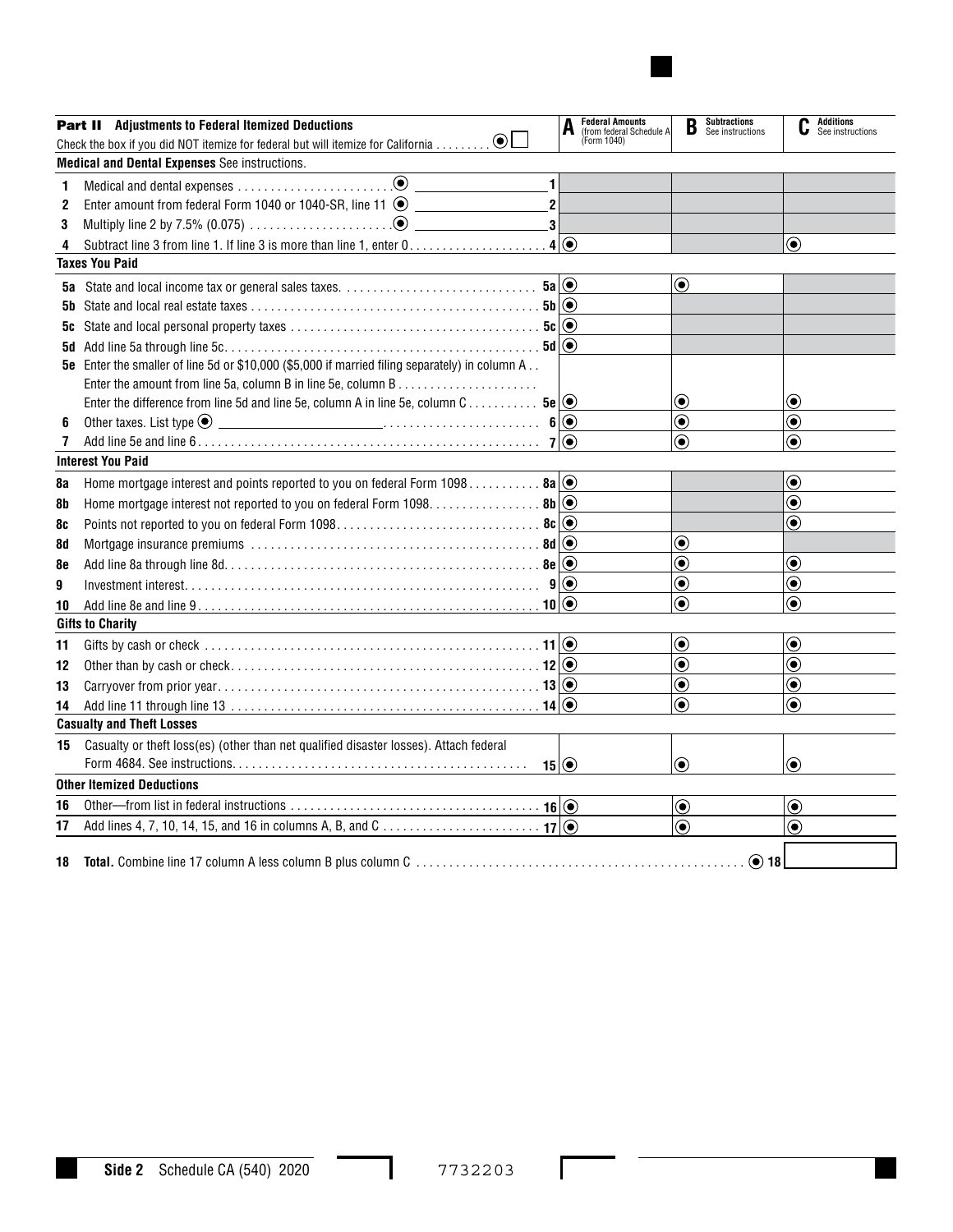